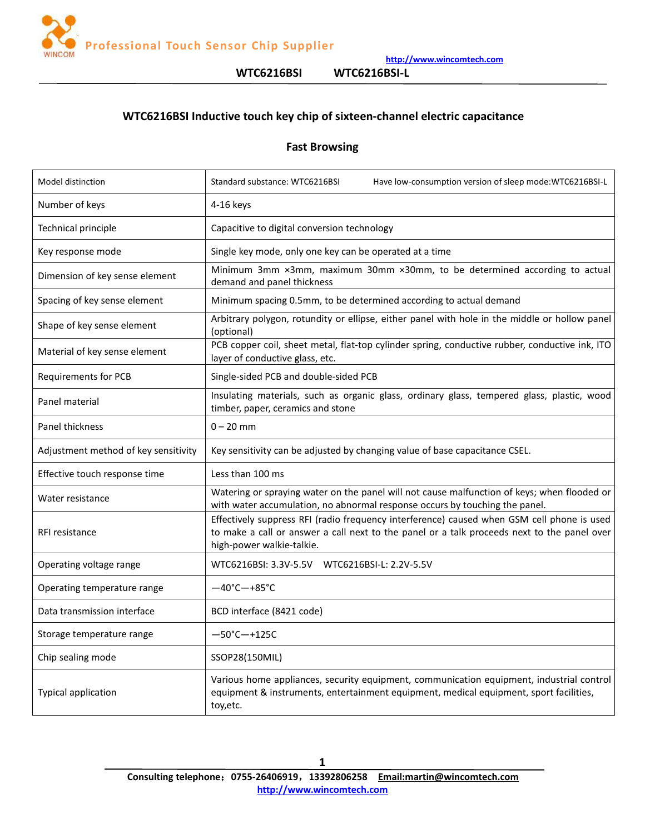

**WTC6216BSI WTC6216BSI-L**

# **WTC6216BSI Inductive touch key chip of sixteen-channel electric capacitance**

# **Fast Browsing**

| Model distinction                    | Standard substance: WTC6216BSI<br>Have low-consumption version of sleep mode: WTC6216BSI-L                                                                                                                             |
|--------------------------------------|------------------------------------------------------------------------------------------------------------------------------------------------------------------------------------------------------------------------|
| Number of keys                       | 4-16 keys                                                                                                                                                                                                              |
| Technical principle                  | Capacitive to digital conversion technology                                                                                                                                                                            |
| Key response mode                    | Single key mode, only one key can be operated at a time                                                                                                                                                                |
| Dimension of key sense element       | Minimum 3mm x3mm, maximum 30mm x30mm, to be determined according to actual<br>demand and panel thickness                                                                                                               |
| Spacing of key sense element         | Minimum spacing 0.5mm, to be determined according to actual demand                                                                                                                                                     |
| Shape of key sense element           | Arbitrary polygon, rotundity or ellipse, either panel with hole in the middle or hollow panel<br>(optional)                                                                                                            |
| Material of key sense element        | PCB copper coil, sheet metal, flat-top cylinder spring, conductive rubber, conductive ink, ITO<br>layer of conductive glass, etc.                                                                                      |
| <b>Requirements for PCB</b>          | Single-sided PCB and double-sided PCB                                                                                                                                                                                  |
| Panel material                       | Insulating materials, such as organic glass, ordinary glass, tempered glass, plastic, wood<br>timber, paper, ceramics and stone                                                                                        |
| Panel thickness                      | $0 - 20$ mm                                                                                                                                                                                                            |
| Adjustment method of key sensitivity | Key sensitivity can be adjusted by changing value of base capacitance CSEL.                                                                                                                                            |
| Effective touch response time        | Less than 100 ms                                                                                                                                                                                                       |
| Water resistance                     | Watering or spraying water on the panel will not cause malfunction of keys; when flooded or<br>with water accumulation, no abnormal response occurs by touching the panel.                                             |
| RFI resistance                       | Effectively suppress RFI (radio frequency interference) caused when GSM cell phone is used<br>to make a call or answer a call next to the panel or a talk proceeds next to the panel over<br>high-power walkie-talkie. |
| Operating voltage range              |                                                                                                                                                                                                                        |
| Operating temperature range          | $-40^{\circ}$ C $-+85^{\circ}$ C                                                                                                                                                                                       |
| Data transmission interface          | BCD interface (8421 code)                                                                                                                                                                                              |
| Storage temperature range            | $-50^{\circ}$ C $-+125C$                                                                                                                                                                                               |
| Chip sealing mode                    | SSOP28(150MIL)                                                                                                                                                                                                         |
| Typical application                  | Various home appliances, security equipment, communication equipment, industrial control<br>equipment & instruments, entertainment equipment, medical equipment, sport facilities,<br>toy, etc.                        |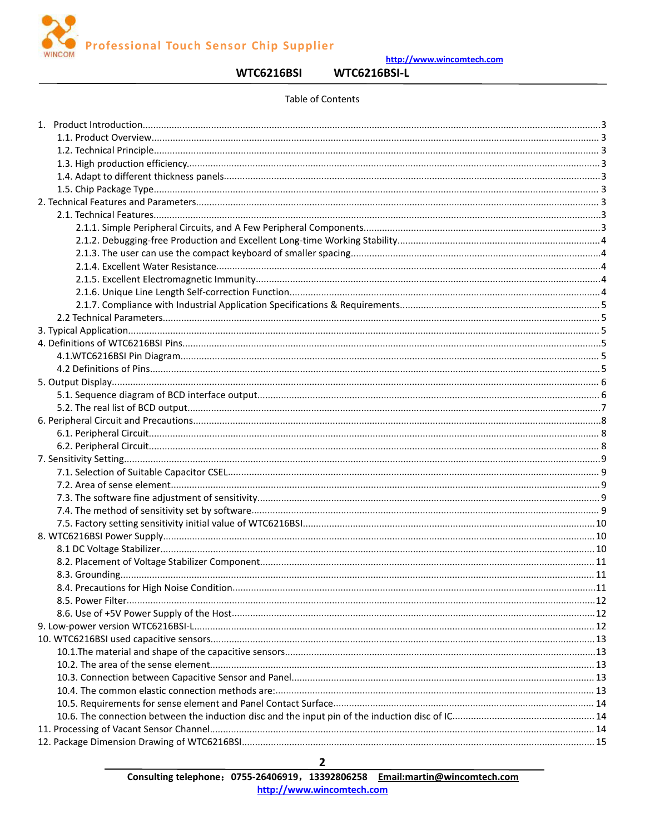**Professional Touch Sensor Chip Supplier** 

http://www.wincomtech.com

**WTC6216BSI** 

**WTC6216BSI-L** 

#### Table of Contents

| 8.4. Precautions for High Noise Condition | .11 |
|-------------------------------------------|-----|
|                                           |     |
|                                           |     |
|                                           |     |
|                                           |     |
|                                           |     |
|                                           |     |
|                                           |     |
|                                           |     |
|                                           |     |
|                                           |     |
|                                           |     |
|                                           |     |
|                                           |     |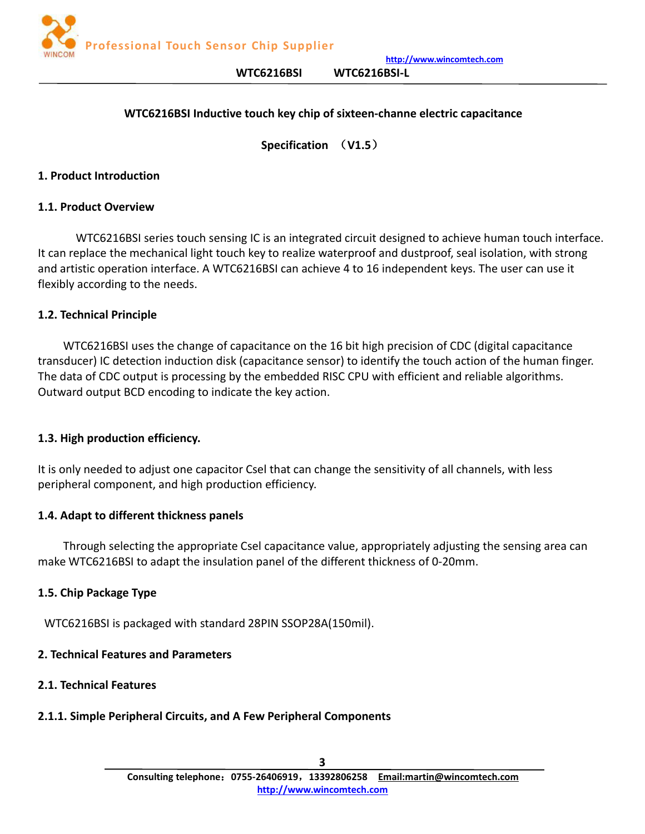

**WTC6216BSI WTC6216BSI-L**

## <span id="page-2-0"></span>**WTC6216BSI Inductive touch key chip ofsixteen-channe electric capacitance**

**Specification** (**V1.5**)

#### <span id="page-2-1"></span>**1. Product Introduction**

#### **1.1. Product Overview**

WTC6216BSI series touch sensing IC is an integrated circuit designed to achieve human touch interface. It can replace the mechanical light touch key to realize waterproof and dustproof, seal isolation, with strong and artistic operation interface. A WTC6216BSI can achieve 4 to 16 independent keys. The user can use it flexibly according to the needs.

#### **1.2. Technical Principle**

WTC6216BSI uses the change of capacitance on the 16 bit high precision of CDC (digital capacitance transducer) IC detection induction disk (capacitance sensor) to identify the touch action of the human finger. The data of CDC output is processing by the embedded RISC CPU with efficient and reliable algorithms. Outward output BCD encoding to indicate the key action.

#### **1.3. High production efficiency.**

It is only needed to adjust one capacitor Csel that can change the sensitivity of all channels, with less peripheral component, and high production efficiency.

#### **1.4. Adapt to different thickness panels**

Through selecting the appropriate Csel capacitance value, appropriately adjusting the sensing area can make WTC6216BSI to adapt the insulation panel of the different thickness of 0-20mm.

#### **1.5. Chip Package Type**

WTC6216BSI is packaged with standard 28PIN SSOP28A(150mil).

## **2. Technical Features and Parameters**

#### **2.1. Technical Features**

# **2.1.1. Simple Peripheral Circuits, and A Few Peripheral Components**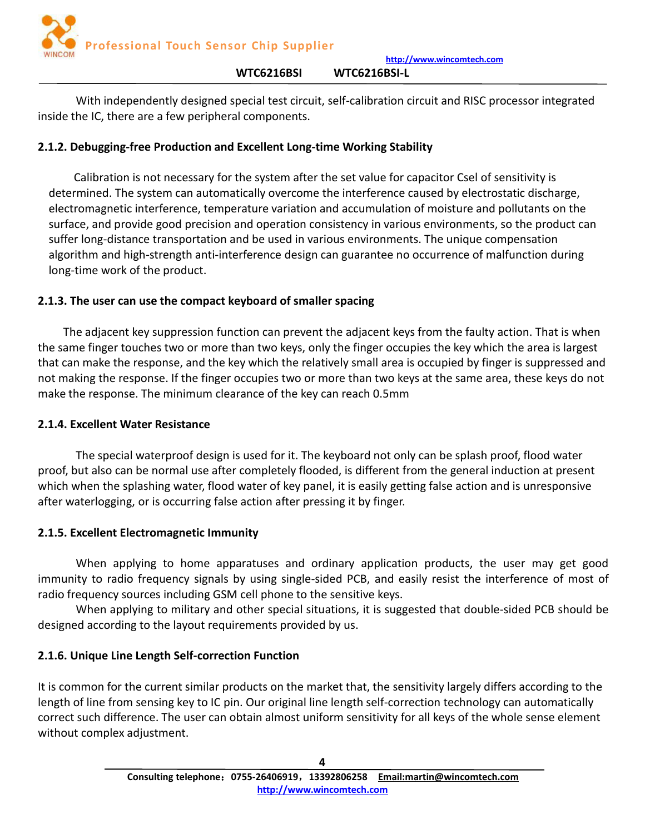

<span id="page-3-0"></span>With independently designed special test circuit, self-calibration circuit and RISC processor integrated inside the IC, there are a few peripheral components.

# **2.1.2. Debugging-free Production and Excellent Long-time Working Stability**

Calibration is not necessary for the system after the set value for capacitor Csel of sensitivity is determined. The system can automatically overcome the interference caused by electrostatic discharge, electromagnetic interference, temperature variation and accumulation of moisture and pollutants on the surface, and provide good precision and operation consistency in various environments, so the product can suffer long-distance transportation and be used in various environments. The unique compensation algorithm and high-strength anti-interference design can guarantee no occurrence of malfunction during long-time work of the product.

# **2.1.3. The user can use the compact keyboard of smaller spacing**

The adjacent key suppression function can prevent the adjacent keys from the faulty action. That is when the same finger touches two or more than two keys, only the finger occupies the key which the area is largest that can make the response, and the key which the relatively small area is occupied by finger is suppressed and not making the response. If the finger occupies two or more than two keys at the same area, these keys do not make the response. The minimum clearance of the key can reach 0.5mm

# **2.1.4. Excellent Water Resistance**

The special waterproof design is used for it. The keyboard not only can be splash proof, flood water proof, but also can be normal use after completely flooded, is different from the general induction at present which when the splashing water, flood water of key panel, it is easily getting false action and is unresponsive after waterlogging, or is occurring false action after pressing it by finger.

# **2.1.5. Excellent Electromagnetic Immunity**

When applying to home apparatuses and ordinary application products, the user may get good immunity to radio frequency signals by using single-sided PCB, and easily resist the interference of most of radio frequency sources including GSM cell phone to the sensitive keys.

When applying to military and other special situations, it is suggested that double-sided PCB should be designed according to the layout requirements provided by us.

# **2.1.6. Unique Line Length Self-correction Function**

It is common for the current similar products on the market that, the sensitivity largely differs according to the length of line from sensing key to IC pin. Our original line length self-correction technology can automatically correct such difference. The user can obtain almost uniform sensitivity for all keys of the whole sense element without complex adjustment.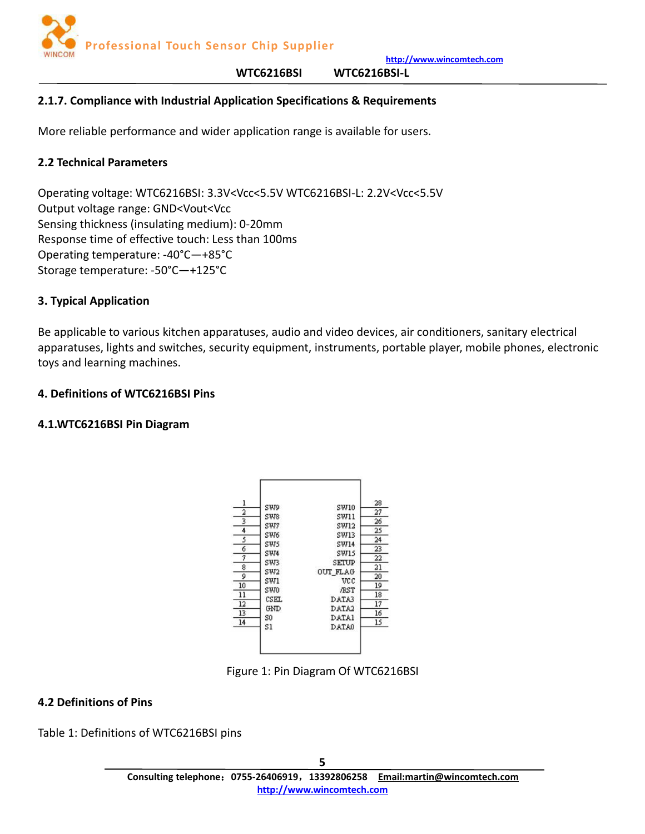

#### **WTC6216BSI WTC6216BSI-L**

## <span id="page-4-0"></span>**2.1.7. Compliance with Industrial Application Specifications & Requirements**

More reliable performance and wider application range is available for users.

### **2.2 Technical Parameters**

Operating voltage: WTC6216BSI: 3.3V<Vcc<5.5V WTC6216BSI-L: 2.2V<Vcc<5.5V Output voltage range: GND<Vout<Vcc Sensing thickness (insulating medium): 0-20mm Response time of effective touch: Less than 100ms Operating temperature: -40°C—+85°C Storage temperature: -50°C—+125°C

#### **3. Typical Application**

Be applicable to various kitchen apparatuses, audio and video devices, air conditioners, sanitary electrical apparatuses, lights and switches, security equipment, instruments, portable player, mobile phones, electronic toys and learning machines.

#### **4. Definitions of WTC6216BSI Pins**

#### **4.1.WTC6216BSI Pin Diagram**



Figure 1: Pin Diagram Of WTC6216BSI

## **4.2 Definitions of Pins**

Table 1: Definitions of WTC6216BSI pins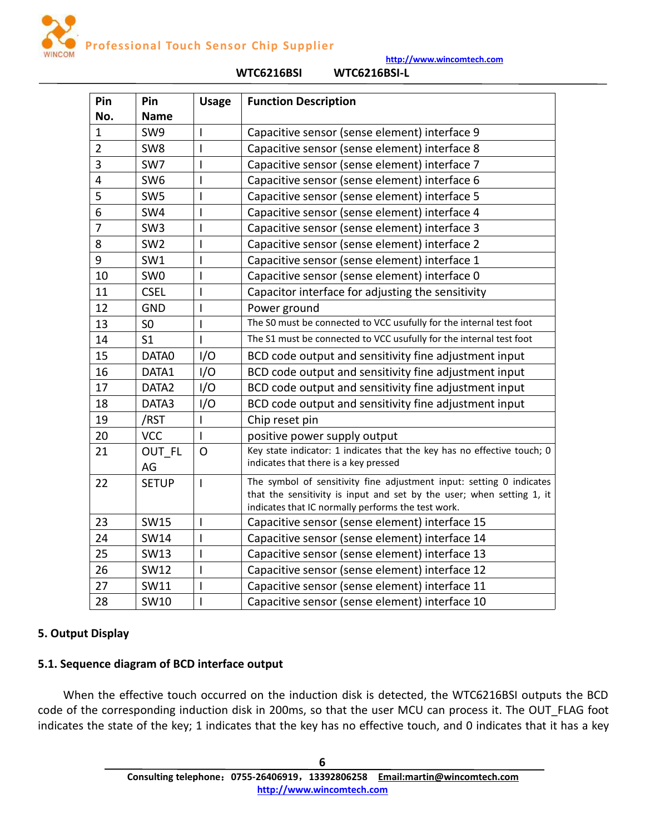**Professional Touch Sensor Chip Supplier**

**http://www.wincomtech.com**

<span id="page-5-0"></span>

| Pin            | Pin               | <b>Usage</b>   | <b>Function Description</b>                                                                                                                                                                         |
|----------------|-------------------|----------------|-----------------------------------------------------------------------------------------------------------------------------------------------------------------------------------------------------|
| No.            | <b>Name</b>       |                |                                                                                                                                                                                                     |
| $\mathbf{1}$   | SW9               | $\mathbf{I}$   | Capacitive sensor (sense element) interface 9                                                                                                                                                       |
| $\overline{2}$ | SW8               | I              | Capacitive sensor (sense element) interface 8                                                                                                                                                       |
| 3              | SW7               | I              | Capacitive sensor (sense element) interface 7                                                                                                                                                       |
| 4              | SW <sub>6</sub>   | L              | Capacitive sensor (sense element) interface 6                                                                                                                                                       |
| 5              | SW <sub>5</sub>   |                | Capacitive sensor (sense element) interface 5                                                                                                                                                       |
| 6              | SW4               |                | Capacitive sensor (sense element) interface 4                                                                                                                                                       |
| 7              | SW <sub>3</sub>   | L              | Capacitive sensor (sense element) interface 3                                                                                                                                                       |
| 8              | SW <sub>2</sub>   |                | Capacitive sensor (sense element) interface 2                                                                                                                                                       |
| 9              | SW1               |                | Capacitive sensor (sense element) interface 1                                                                                                                                                       |
| 10             | SW <sub>0</sub>   | I              | Capacitive sensor (sense element) interface 0                                                                                                                                                       |
| 11             | <b>CSEL</b>       | L              | Capacitor interface for adjusting the sensitivity                                                                                                                                                   |
| 12             | <b>GND</b>        |                | Power ground                                                                                                                                                                                        |
| 13             | S <sub>0</sub>    |                | The S0 must be connected to VCC usufully for the internal test foot                                                                                                                                 |
| 14             | S <sub>1</sub>    |                | The S1 must be connected to VCC usufully for the internal test foot                                                                                                                                 |
| 15             | DATA0             | I/O            | BCD code output and sensitivity fine adjustment input                                                                                                                                               |
| 16             | DATA1             | I/O            | BCD code output and sensitivity fine adjustment input                                                                                                                                               |
| 17             | DATA <sub>2</sub> | I/O            | BCD code output and sensitivity fine adjustment input                                                                                                                                               |
| 18             | DATA3             | I/O            | BCD code output and sensitivity fine adjustment input                                                                                                                                               |
| 19             | /RST              |                | Chip reset pin                                                                                                                                                                                      |
| 20             | <b>VCC</b>        |                | positive power supply output                                                                                                                                                                        |
| 21             | OUT FL<br>AG      | $\Omega$       | Key state indicator: 1 indicates that the key has no effective touch; 0<br>indicates that there is a key pressed                                                                                    |
| 22             | <b>SETUP</b>      | $\mathbf{I}$   | The symbol of sensitivity fine adjustment input: setting 0 indicates<br>that the sensitivity is input and set by the user; when setting 1, it<br>indicates that IC normally performs the test work. |
| 23             | <b>SW15</b>       | $\mathbf{I}$   | Capacitive sensor (sense element) interface 15                                                                                                                                                      |
| 24             | <b>SW14</b>       | $\mathsf I$    | Capacitive sensor (sense element) interface 14                                                                                                                                                      |
| 25             | <b>SW13</b>       | $\overline{1}$ | Capacitive sensor (sense element) interface 13                                                                                                                                                      |
| 26             | <b>SW12</b>       | L              | Capacitive sensor (sense element) interface 12                                                                                                                                                      |
| 27             | SW11              | ı              | Capacitive sensor (sense element) interface 11                                                                                                                                                      |
| 28             | SW10              |                | Capacitive sensor (sense element) interface 10                                                                                                                                                      |

#### **WTC6216BSI WTC6216BSI-L**

# **5. Output Display**

# **5.1. Sequence diagram of BCD interface output**

When the effective touch occurred on the induction disk is detected, the WTC6216BSI outputs the BCD code of the corresponding induction disk in 200ms, so that the user MCU can process it. The OUT\_FLAG foot indicates the state of the key; 1 indicates that the key has no effective touch, and 0 indicates that it has a key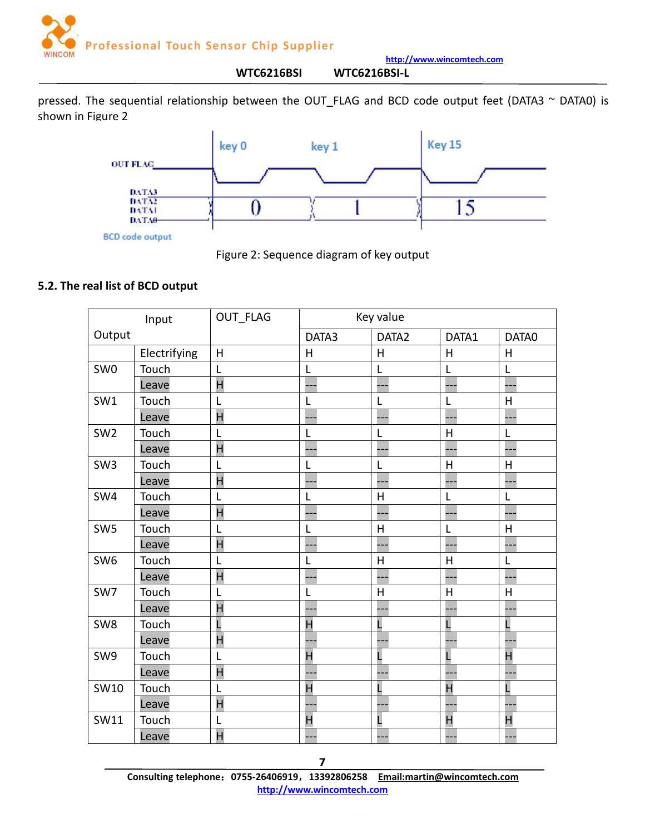

**http://www.wincomtech.com WTC6216BSI WTC6216BSI-L**

<span id="page-6-0"></span>pressed. The sequential relationship between the OUT\_FLAG and BCD code output feet (DATA3 ~ DATA0) is shown in Figure 2



Figure 2: Sequence diagram of key output

## **5.2. The real list of BCD output**

|                 | Input        | OUT_FLAG                | Key value               |         |                |         |
|-----------------|--------------|-------------------------|-------------------------|---------|----------------|---------|
| Output          |              |                         | DATA3                   | DATA2   | DATA1          | DATA0   |
|                 | Electrifying | H                       | H                       | H       | H              | H       |
| SW <sub>0</sub> | Touch        | L                       | L                       | L       | L              | L       |
|                 | Leave        | $\overline{\mathsf{H}}$ |                         | ---     | L.,            |         |
| SW1             | Touch        | L                       | L                       | L       | L              | H       |
|                 | Leave        | H                       |                         |         |                |         |
| SW <sub>2</sub> | Touch        | L                       | L                       | L       | H              | L       |
|                 | Leave        | $\overline{\mathsf{H}}$ |                         | ---     |                |         |
| SW <sub>3</sub> | Touch        | L                       | L                       | L       | $\sf H$        | $\sf H$ |
|                 | Leave        | H                       |                         | --      |                |         |
| SW4             | Touch        | L                       | L                       | $\sf H$ | L              | L       |
|                 | Leave        | H                       |                         | ---     |                |         |
| SW <sub>5</sub> | Touch        | L                       | L                       | $\sf H$ | L              | H       |
|                 | Leave        | H                       |                         | --      |                |         |
| SW6             | Touch        | L                       | L                       | H       | H              | L       |
|                 | Leave        | $\overline{\mathsf{H}}$ |                         | ---     |                |         |
| SW7             | Touch        | L                       | L                       | H       | H              | $\sf H$ |
|                 | Leave        | H                       |                         |         |                |         |
| SW8             | Touch        |                         | H                       | L       |                | L       |
|                 | Leave        | H                       |                         |         |                |         |
| SW9             | Touch        | L                       | H                       | L       |                | H       |
|                 | Leave        | H                       |                         |         |                |         |
| SW10            | Touch        | L                       | $\overline{\mathsf{H}}$ | L       | $\overline{H}$ |         |
|                 | Leave        | H                       |                         | ---     |                |         |
| SW11            | Touch        | L                       | H                       | L       | H              | H       |
|                 | Leave        | H                       |                         |         |                |         |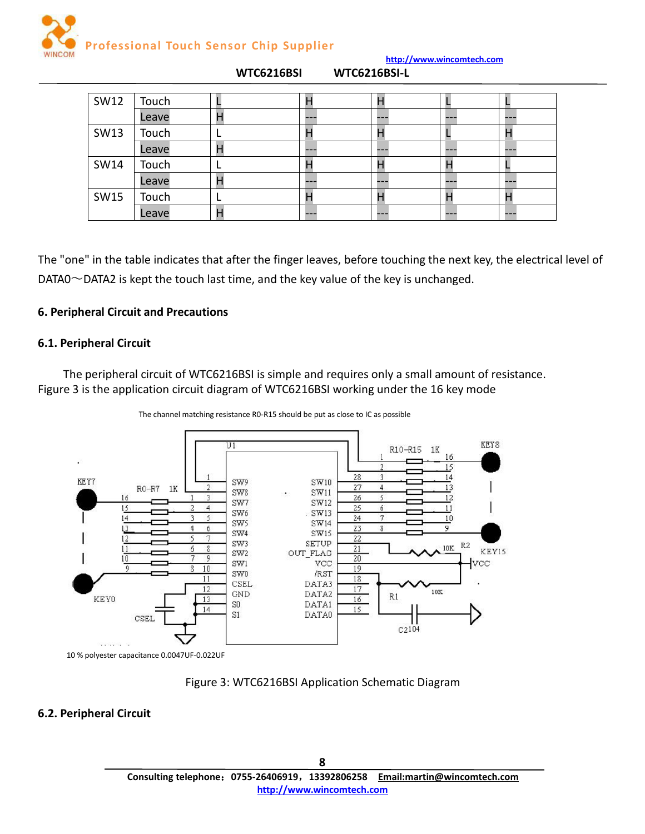

<span id="page-7-0"></span>

| SW12        | Touch |   |     |                     |     |     |
|-------------|-------|---|-----|---------------------|-----|-----|
|             | Leave |   | --- |                     | --- | --- |
| SW13        | Touch |   |     | п                   |     |     |
|             | Leave |   | --- | ---                 | --- | --- |
| <b>SW14</b> | Touch |   | п   |                     |     |     |
|             | Leave | н | --- | <b>START OF ALL</b> | --- | --- |
| <b>SW15</b> | Touch |   |     |                     |     |     |
|             | Leave | Н | --- | ---                 | --- | --- |

**WTC6216BSI WTC6216BSI-L**

The "one" in the table indicates that after the finger leaves, before touching the next key, the electrical level of  $DATAO \sim$  DATA2 is kept the touch last time, and the key value of the key is unchanged.

## **6. Peripheral Circuit and Precautions**

## **6.1. Peripheral Circuit**

The peripheral circuit of WTC6216BSI is simple and requires only a small amount of resistance. Figure 3 is the application circuit diagram of WTC6216BSI working under the 16 key mode



The channel matching resistance R0-R15 should be put as close to IC as possible

Figure 3: WTC6216BSI Application Schematic Diagram

## **6.2. Peripheral Circuit**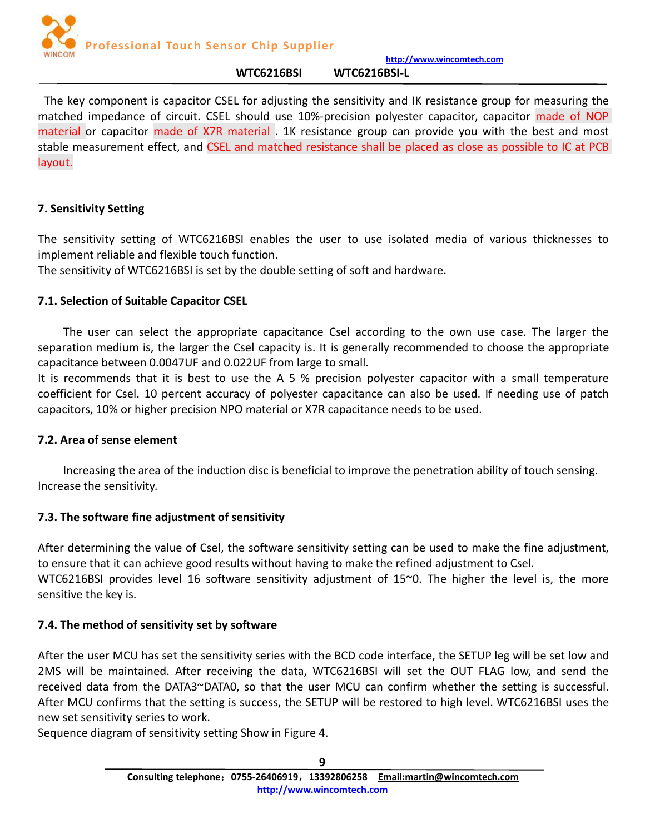

#### **WTC6216BSI WTC6216BSI-L**

<span id="page-8-0"></span>The key component is capacitor CSEL for adjusting the sensitivity and IK resistance group for measuring the matched impedance of circuit. CSEL should use 10%-precision polyester capacitor, capacitor made of NOP material or capacitor made of X7R material . 1K resistance group can provide you with the best and most stable measurement effect, and CSEL and matched resistance shall be placed as close as possible to IC at PCB layout.

# **7. Sensitivity Setting**

The sensitivity setting of WTC6216BSI enables the user to use isolated media of various thicknesses to implement reliable and flexible touch function.

The sensitivity of WTC6216BSI is set by the double setting of soft and hardware.

# **7.1. Selection of Suitable Capacitor CSEL**

The user can select the appropriate capacitance Csel according to the own use case. The larger the separation medium is, the larger the Csel capacity is. It is generally recommended to choose the appropriate capacitance between 0.0047UF and 0.022UF from large to small.

It is recommends that it is best to use the A 5  $%$  precision polyester capacitor with a small temperature coefficient for Csel. 10 percent accuracy of polyester capacitance can also be used. If needing use of patch capacitors, 10% or higher precision NPO materialor X7R capacitance needs to be used.

# **7.2. Area of sense element**

Increasing the area of the induction disc is beneficial to improve the penetration ability of touch sensing. Increase the sensitivity.

# **7.3. The software fine adjustment of sensitivity**

After determining the value of Csel, the software sensitivity setting can be used to make the fine adjustment, to ensure that it can achieve good results without having to make the refined adjustment to Csel. WTC6216BSI provides level 16 software sensitivity adjustment of 15~0. The higher the level is, the more sensitive the key is.

# **7.4. The method of sensitivity set by software**

After the user MCU has set the sensitivity series with the BCD code interface, the SETUP leg will be set low and 2MS will be maintained. After receiving the data, WTC6216BSI will set the OUT FLAG low, and send the received data from the DATA3~DATA0, so that the user MCU can confirm whether the setting is successful. After MCU confirms that the setting is success, the SETUP will be restored to high level. WTC6216BSI uses the new set sensitivity series to work.

Sequence diagram of sensitivity setting Show in Figure 4.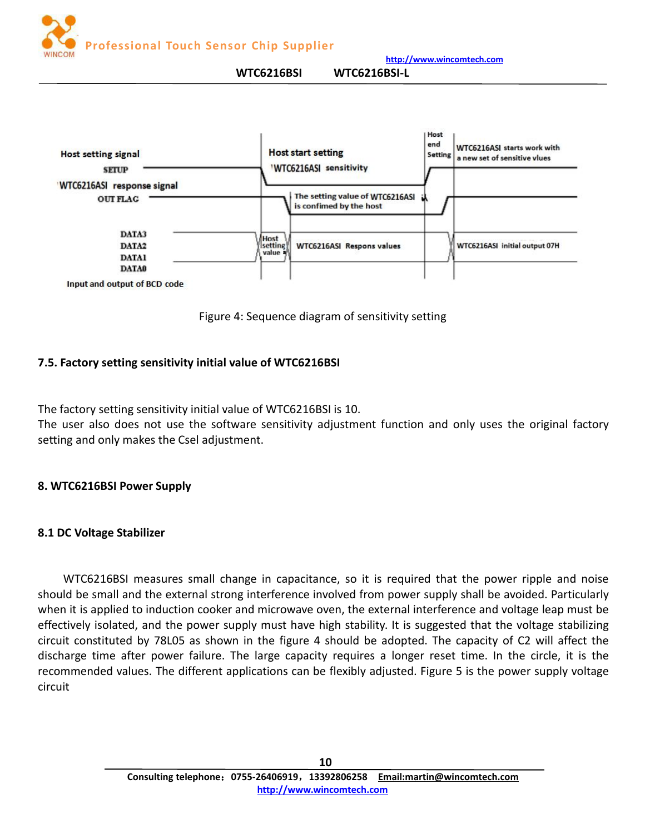

**WTC6216BSI WTC6216BSI-L**

<span id="page-9-0"></span>

Figure 4: Sequence diagram of sensitivity setting

# **7.5. Factory setting sensitivity initial value of WTC6216BSI**

The factory setting sensitivity initial value of WTC6216BSI is 10.

The user also does not use the software sensitivity adjustment function and only uses the original factory setting and only makes the Csel adjustment.

# **8. WTC6216BSI Power Supply**

# **8.1 DC Voltage Stabilizer**

WTC6216BSI measures small change in capacitance, so it is required that the power ripple and noise should be small and the external strong interference involved from power supply shall be avoided. Particularly when it is applied to induction cooker and microwave oven, the external interference and voltage leap must be effectively isolated, and the power supply must have high stability. It is suggested that the voltage stabilizing circuit constituted by 78L05 as shown in the figure 4 should be adopted. The capacity of C2 will affect the discharge time after power failure. The large capacity requires a longer reset time. In the circle, it is the recommended values. The different applications can be flexibly adjusted. Figure 5 is the power supply voltage circuit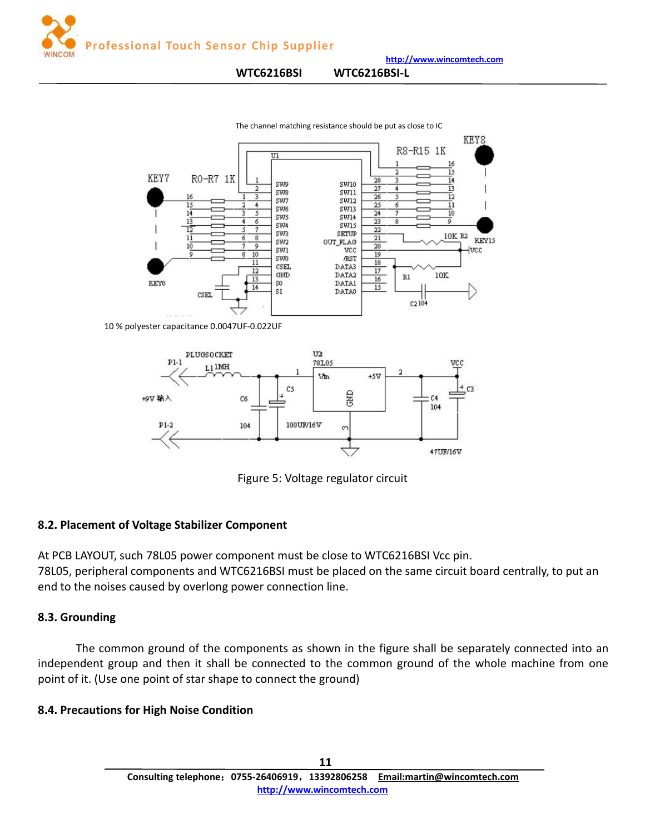<span id="page-10-0"></span>

#### **WTC6216BSI WTC6216BSI-L**



The channel matching resistance should be put as close to IC

10 % polyester capacitance 0.0047UF-0.022UF



Figure 5: Voltage regulator circuit

## **8.2. Placement of Voltage Stabilizer Component**

At PCB LAYOUT, such 78L05 power component must be close to WTC6216BSI Vcc pin. 78L05, peripheral components and WTC6216BSI must be placed on the same circuit board centrally, to put an end to the noises caused by overlong power connection line.

## **8.3. Grounding**

The common ground of the components as shown in the figure shall be separately connected into an independent group and then it shall be connected to the common ground of the whole machine from one point of it. (Use one point of star shape to connect the ground)

## **8.4. Precautions for High Noise Condition**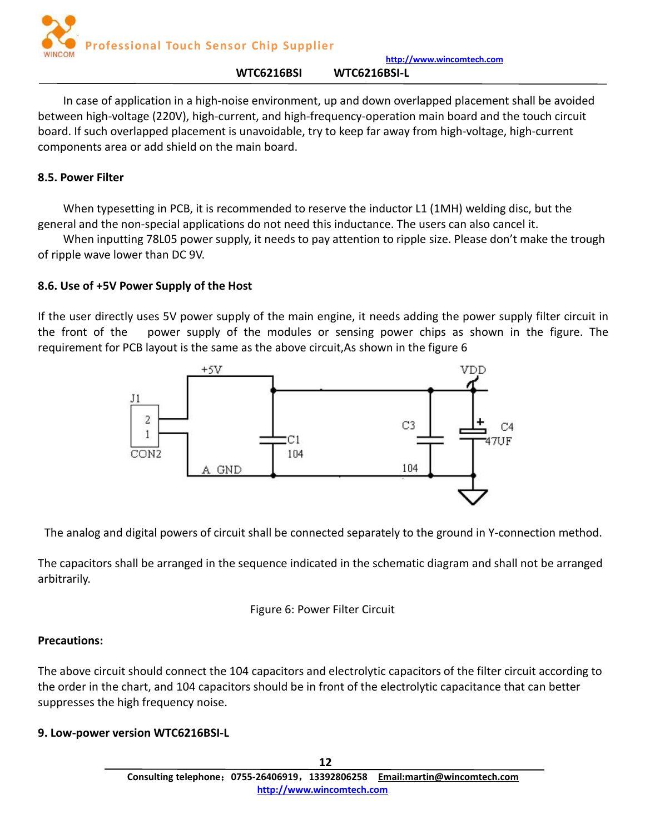

#### **WTC6216BSI WTC6216BSI-L**

<span id="page-11-0"></span>In case of application in a high-noise environment, up and down overlapped placement shall be avoided between high-voltage (220V), high-current, and high-frequency-operation main board and the touch circuit board. If such overlapped placement is unavoidable, try to keep far away from high-voltage, high-current components area or add shield on the main board.

#### **8.5. Power Filter**

When typesetting in PCB, it is recommended to reserve the inductor L1 (1MH) welding disc, but the general and the non-special applications do not need this inductance. The users can also cancel it.

When inputting 78L05 power supply, it needs to pay attention to ripple size. Please don't make the trough of ripple wave lower than DC 9V.

## **8.6. Use of +5V Power Supply of the Host**

If the user directly uses 5V power supply of the main engine, it needs adding the power supply filter circuit in the front of the power supply of the modules or sensing power chips as shown in the figure. The requirement for PCB layout is the same as the above circuit,As shown in the figure 6



The analog and digital powers of circuit shall be connected separately to the ground in Y-connection method.

The capacitors shall be arranged in the sequence indicated in the schematic diagram and shall not be arranged arbitrarily.



## **Precautions:**

The above circuit should connect the 104 capacitors and electrolytic capacitors of the filter circuit according to the order in the chart, and 104 capacitors should be in front of the electrolytic capacitance that can better suppresses the high frequency noise.

## **9. Low-power version WTC6216BSI-L**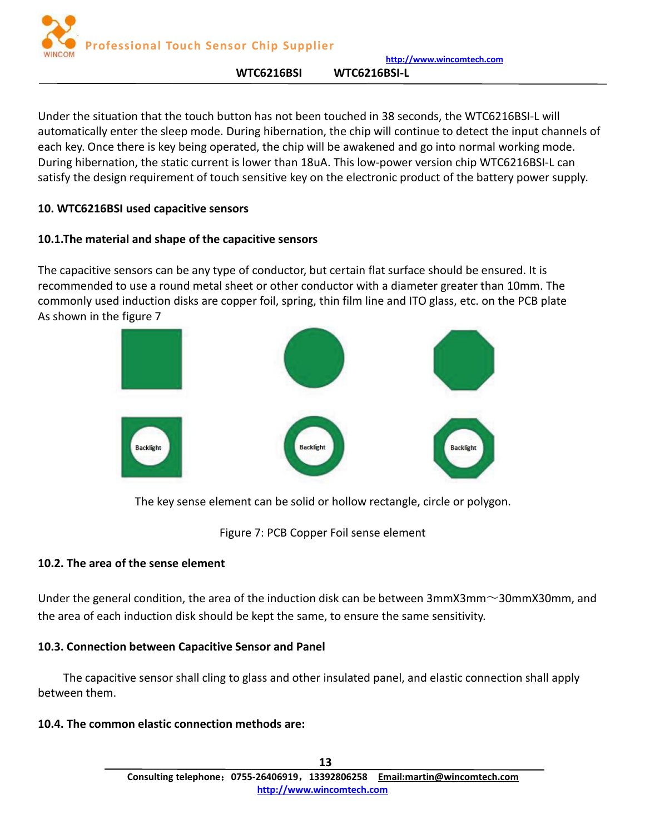**Professional Touch Sensor Chip Supplier**

**http://www.wincomtech.com**

**WTC6216BSI WTC6216BSI-L**

<span id="page-12-0"></span>Under the situation that the touch button has not been touched in 38 seconds, the WTC6216BSI-L will automatically enter the sleep mode. During hibernation, the chip will continue to detect the input channels of each key. Once there is key being operated, the chip will be awakened and go into normal working mode. During hibernation, the static current is lower than 18uA. This low-power version chip WTC6216BSI-L can satisfy the design requirement of touch sensitive key on the electronic product of the battery power supply.

# **10. WTC6216BSI used capacitive sensors**

# **10.1.The material and shape of the capacitive sensors**

The capacitive sensors can be any type of conductor, but certain flat surface should be ensured. It is recommended to use a round metal sheet or other conductor with a diameter greater than 10mm. The commonly used induction disks are copper foil, spring, thin film line and ITO glass, etc. on the PCB plate As shown in the figure 7



The key sense element can be solid or hollow rectangle, circle or polygon.

Figure 7: PCB Copper Foil sense element

# **10.2. The area of the sense element**

Under the general condition, the area of the induction disk can be between 3mmX3mm $\sim$ 30mmX30mm, and the area of each induction disk should be kept the same, to ensure the same sensitivity.

# **10.3. Connection between Capacitive Sensor and Panel**

The capacitive sensor shall cling to glass and other insulated panel, and elastic connection shall apply between them.

# **10.4. The common elastic connection methods are:**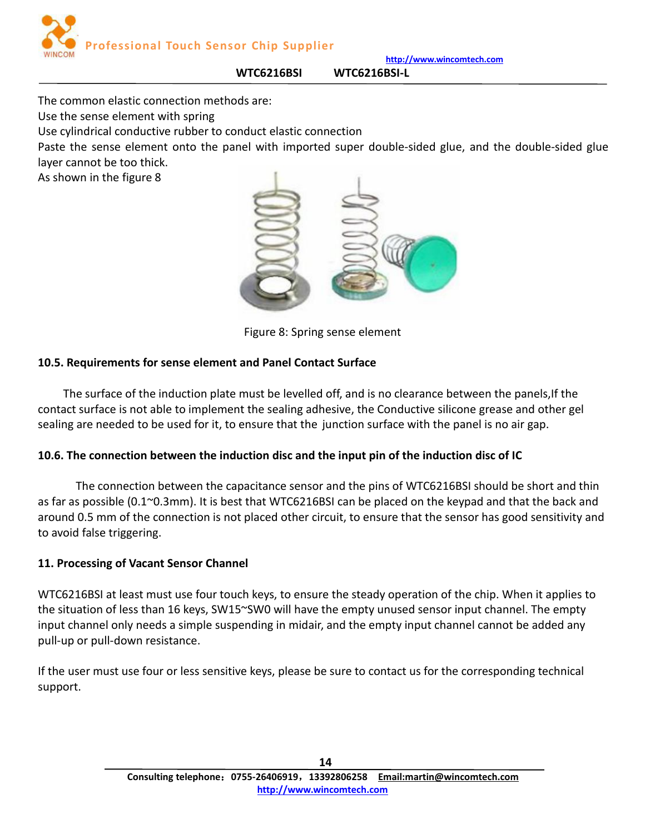

<span id="page-13-0"></span>The common elastic connection methods are:

Use the sense element with spring

Use cylindrical conductive rubber to conduct elastic connection

Paste the sense element onto the panel with imported super double-sided glue, and the double-sided glue layer cannot be too thick.

**WTC6216BSI WTC6216BSI-L**

As shown in the figure 8



Figure 8: Spring sense element

# **10.5. Requirements for sense element and Panel Contact Surface**

The surface of the induction plate must be levelled off, and is no clearance between the panels, If the contact surface is not able to implement the sealing adhesive, the Conductive silicone grease and other gel sealing are needed to be used for it, to ensure that the junction surface with the panel is no air gap.

# **10.6. The connection between the induction disc and the input pin of the induction disc of IC**

The connection between the capacitance sensor and the pins of WTC6216BSI should be short and thin as far as possible  $(0.1^{\circ}0.3$ mm). It is best that WTC6216BSI can be placed on the keypad and that the back and around 0.5 mm of the connection is not placed other circuit, to ensure that the sensor has good sensitivity and to avoid false triggering.

# **11. Processing of Vacant Sensor Channel**

WTC6216BSI at least must use four touch keys, to ensure the steady operation of the chip. When it applies to the situation of less than 16 keys, SW15~SW0 will have the empty unused sensor input channel. The empty input channel only needs a simple suspending in midair, and the empty input channel cannot be added any pull-up or pull-down resistance.

If the user must use four or less sensitive keys, please be sure to contact us for the corresponding technical support.